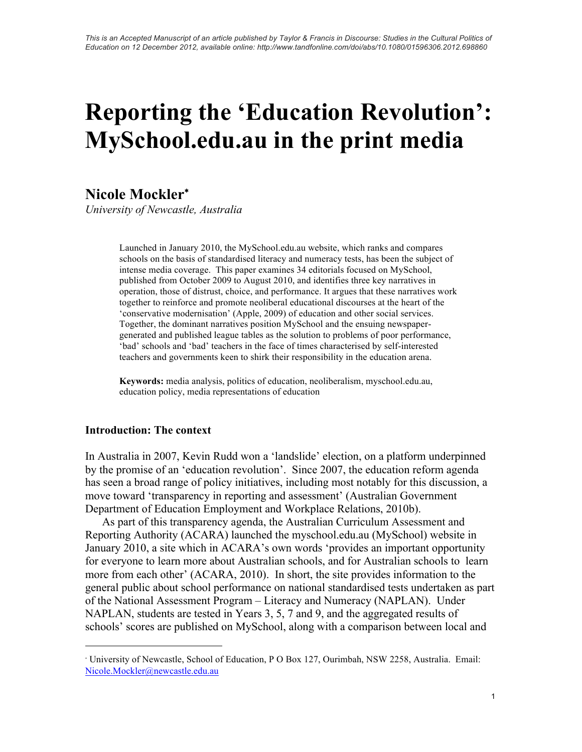# **Reporting the 'Education Revolution': MySchool.edu.au in the print media**

## **Nicole Mockler**<sup>∗</sup>

*University of Newcastle, Australia*

Launched in January 2010, the MySchool.edu.au website, which ranks and compares schools on the basis of standardised literacy and numeracy tests, has been the subject of intense media coverage. This paper examines 34 editorials focused on MySchool, published from October 2009 to August 2010, and identifies three key narratives in operation, those of distrust, choice, and performance. It argues that these narratives work together to reinforce and promote neoliberal educational discourses at the heart of the 'conservative modernisation' (Apple, 2009) of education and other social services. Together, the dominant narratives position MySchool and the ensuing newspapergenerated and published league tables as the solution to problems of poor performance, 'bad' schools and 'bad' teachers in the face of times characterised by self-interested teachers and governments keen to shirk their responsibility in the education arena.

**Keywords:** media analysis, politics of education, neoliberalism, myschool.edu.au, education policy, media representations of education

#### **Introduction: The context**

 $\overline{a}$ 

In Australia in 2007, Kevin Rudd won a 'landslide' election, on a platform underpinned by the promise of an 'education revolution'. Since 2007, the education reform agenda has seen a broad range of policy initiatives, including most notably for this discussion, a move toward 'transparency in reporting and assessment' (Australian Government Department of Education Employment and Workplace Relations, 2010b).

As part of this transparency agenda, the Australian Curriculum Assessment and Reporting Authority (ACARA) launched the myschool.edu.au (MySchool) website in January 2010, a site which in ACARA's own words 'provides an important opportunity for everyone to learn more about Australian schools, and for Australian schools to learn more from each other' (ACARA, 2010). In short, the site provides information to the general public about school performance on national standardised tests undertaken as part of the National Assessment Program – Literacy and Numeracy (NAPLAN). Under NAPLAN, students are tested in Years 3, 5, 7 and 9, and the aggregated results of schools' scores are published on MySchool, along with a comparison between local and

<sup>∗</sup> University of Newcastle, School of Education, P O Box 127, Ourimbah, NSW 2258, Australia. Email: Nicole.Mockler@newcastle.edu.au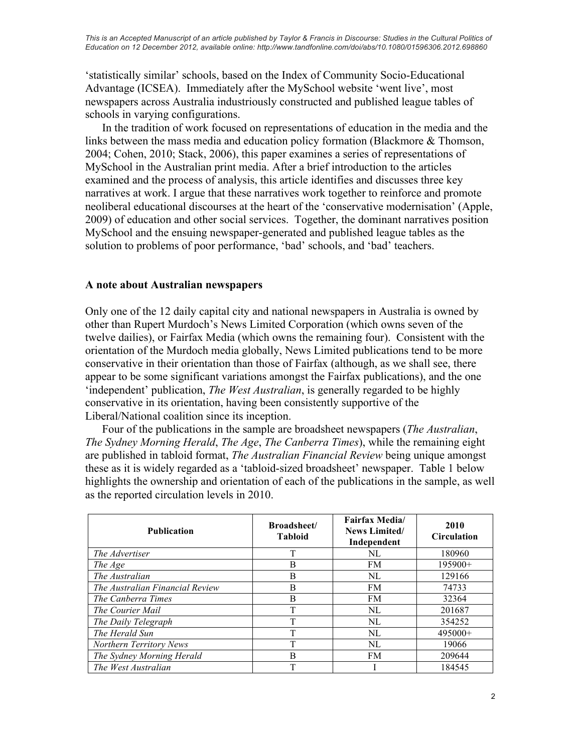'statistically similar' schools, based on the Index of Community Socio-Educational Advantage (ICSEA). Immediately after the MySchool website 'went live', most newspapers across Australia industriously constructed and published league tables of schools in varying configurations.

In the tradition of work focused on representations of education in the media and the links between the mass media and education policy formation (Blackmore & Thomson, 2004; Cohen, 2010; Stack, 2006), this paper examines a series of representations of MySchool in the Australian print media. After a brief introduction to the articles examined and the process of analysis, this article identifies and discusses three key narratives at work. I argue that these narratives work together to reinforce and promote neoliberal educational discourses at the heart of the 'conservative modernisation' (Apple, 2009) of education and other social services. Together, the dominant narratives position MySchool and the ensuing newspaper-generated and published league tables as the solution to problems of poor performance, 'bad' schools, and 'bad' teachers.

### **A note about Australian newspapers**

Only one of the 12 daily capital city and national newspapers in Australia is owned by other than Rupert Murdoch's News Limited Corporation (which owns seven of the twelve dailies), or Fairfax Media (which owns the remaining four). Consistent with the orientation of the Murdoch media globally, News Limited publications tend to be more conservative in their orientation than those of Fairfax (although, as we shall see, there appear to be some significant variations amongst the Fairfax publications), and the one 'independent' publication, *The West Australian*, is generally regarded to be highly conservative in its orientation, having been consistently supportive of the Liberal/National coalition since its inception.

Four of the publications in the sample are broadsheet newspapers (*The Australian*, *The Sydney Morning Herald*, *The Age*, *The Canberra Times*), while the remaining eight are published in tabloid format, *The Australian Financial Review* being unique amongst these as it is widely regarded as a 'tabloid-sized broadsheet' newspaper. Table 1 below highlights the ownership and orientation of each of the publications in the sample, as well as the reported circulation levels in 2010.

| <b>Publication</b>              | <b>Broadsheet/</b><br><b>Tabloid</b> | <b>Fairfax Media/</b><br><b>News Limited/</b><br>Independent | 2010<br><b>Circulation</b> |
|---------------------------------|--------------------------------------|--------------------------------------------------------------|----------------------------|
| The Advertiser                  | T                                    | NL                                                           | 180960                     |
| The Age                         | B                                    | <b>FM</b>                                                    | $195900+$                  |
| The Australian                  | B                                    | NI.                                                          | 129166                     |
| The Australian Financial Review | B                                    | <b>FM</b>                                                    | 74733                      |
| The Canberra Times              | B                                    | <b>FM</b>                                                    | 32364                      |
| The Courier Mail                | T                                    | NI.                                                          | 201687                     |
| The Daily Telegraph             | T                                    | NL                                                           | 354252                     |
| The Herald Sun                  | T                                    | NL                                                           | $495000+$                  |
| Northern Territory News         | T                                    | NL                                                           | 19066                      |
| The Sydney Morning Herald       | B                                    | <b>FM</b>                                                    | 209644                     |
| The West Australian             | T                                    |                                                              | 184545                     |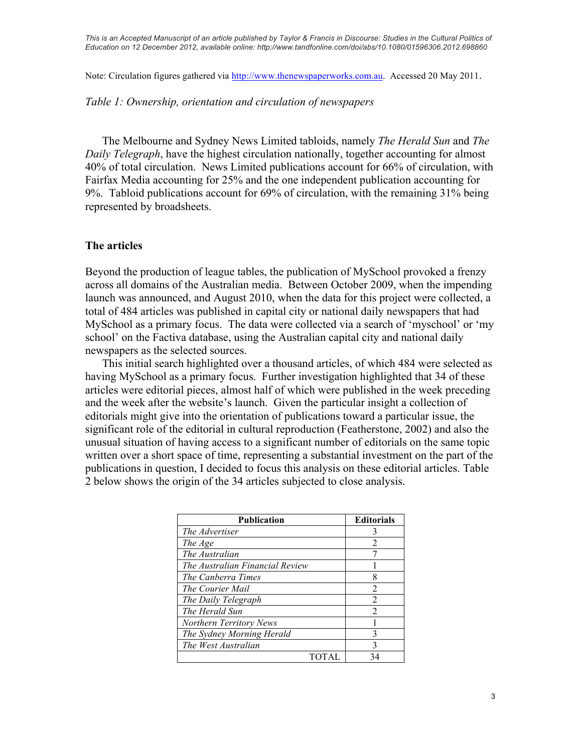*This is an Accepted Manuscript of an article published by Taylor & Francis in Discourse: Studies in the Cultural Politics of Education on 12 December 2012, available online: http://www.tandfonline.com/doi/abs/10.1080/01596306.2012.698860*

Note: Circulation figures gathered via http://www.thenewspaperworks.com.au. Accessed 20 May 2011.

*Table 1: Ownership, orientation and circulation of newspapers*

The Melbourne and Sydney News Limited tabloids, namely *The Herald Sun* and *The Daily Telegraph*, have the highest circulation nationally, together accounting for almost 40% of total circulation. News Limited publications account for 66% of circulation, with Fairfax Media accounting for 25% and the one independent publication accounting for 9%. Tabloid publications account for 69% of circulation, with the remaining 31% being represented by broadsheets.

#### **The articles**

Beyond the production of league tables, the publication of MySchool provoked a frenzy across all domains of the Australian media. Between October 2009, when the impending launch was announced, and August 2010, when the data for this project were collected, a total of 484 articles was published in capital city or national daily newspapers that had MySchool as a primary focus. The data were collected via a search of 'myschool' or 'my school' on the Factiva database, using the Australian capital city and national daily newspapers as the selected sources.

This initial search highlighted over a thousand articles, of which 484 were selected as having MySchool as a primary focus. Further investigation highlighted that 34 of these articles were editorial pieces, almost half of which were published in the week preceding and the week after the website's launch. Given the particular insight a collection of editorials might give into the orientation of publications toward a particular issue, the significant role of the editorial in cultural reproduction (Featherstone, 2002) and also the unusual situation of having access to a significant number of editorials on the same topic written over a short space of time, representing a substantial investment on the part of the publications in question, I decided to focus this analysis on these editorial articles. Table 2 below shows the origin of the 34 articles subjected to close analysis.

| <b>Publication</b>              | <b>Editorials</b> |
|---------------------------------|-------------------|
| The Advertiser                  |                   |
| The Age                         | 2                 |
| The Australian                  |                   |
| The Australian Financial Review |                   |
| The Canberra Times              | 8                 |
| The Courier Mail                | $\mathcal{L}$     |
| The Daily Telegraph             | $\overline{2}$    |
| The Herald Sun                  | $\overline{2}$    |
| Northern Territory News         |                   |
| The Sydney Morning Herald       | 3                 |
| The West Australian             | 3                 |
|                                 | 34                |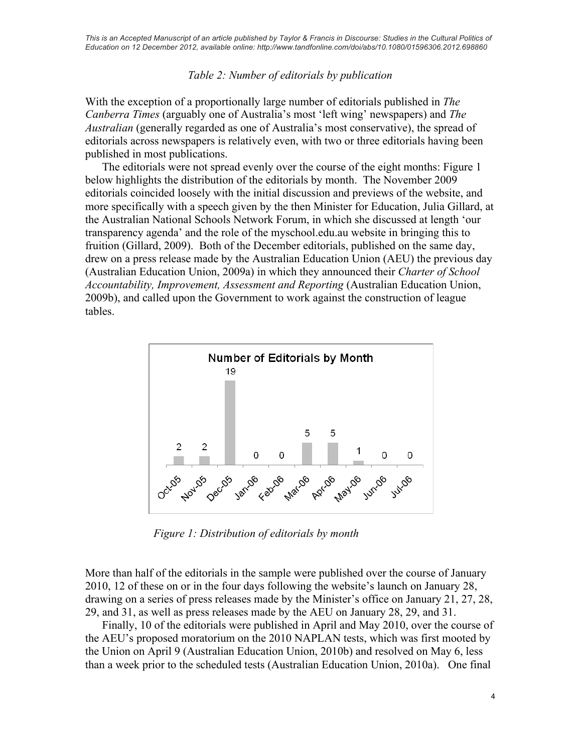### *Table 2: Number of editorials by publication*

With the exception of a proportionally large number of editorials published in *The Canberra Times* (arguably one of Australia's most 'left wing' newspapers) and *The Australian* (generally regarded as one of Australia's most conservative), the spread of editorials across newspapers is relatively even, with two or three editorials having been published in most publications.

The editorials were not spread evenly over the course of the eight months: Figure 1 below highlights the distribution of the editorials by month. The November 2009 editorials coincided loosely with the initial discussion and previews of the website, and more specifically with a speech given by the then Minister for Education, Julia Gillard, at the Australian National Schools Network Forum, in which she discussed at length 'our transparency agenda' and the role of the myschool.edu.au website in bringing this to fruition (Gillard, 2009). Both of the December editorials, published on the same day, drew on a press release made by the Australian Education Union (AEU) the previous day (Australian Education Union, 2009a) in which they announced their *Charter of School Accountability, Improvement, Assessment and Reporting* (Australian Education Union, 2009b), and called upon the Government to work against the construction of league tables.



*Figure 1: Distribution of editorials by month*

More than half of the editorials in the sample were published over the course of January 2010, 12 of these on or in the four days following the website's launch on January 28, drawing on a series of press releases made by the Minister's office on January 21, 27, 28, 29, and 31, as well as press releases made by the AEU on January 28, 29, and 31.

Finally, 10 of the editorials were published in April and May 2010, over the course of the AEU's proposed moratorium on the 2010 NAPLAN tests, which was first mooted by the Union on April 9 (Australian Education Union, 2010b) and resolved on May 6, less than a week prior to the scheduled tests (Australian Education Union, 2010a). One final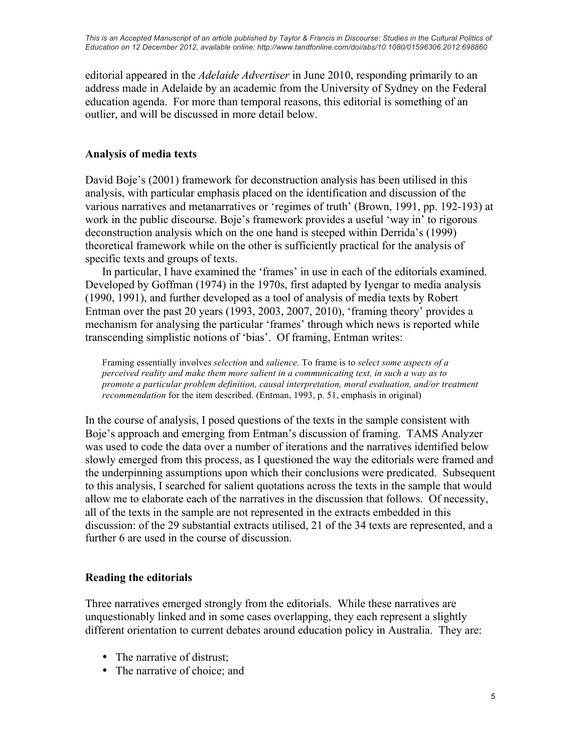editorial appeared in the *Adelaide Advertiser* in June 2010, responding primarily to an address made in Adelaide by an academic from the University of Sydney on the Federal education agenda. For more than temporal reasons, this editorial is something of an outlier, and will be discussed in more detail below.

## **Analysis of media texts**

David Boje's (2001) framework for deconstruction analysis has been utilised in this analysis, with particular emphasis placed on the identification and discussion of the various narratives and metanarratives or 'regimes of truth' (Brown, 1991, pp. 192-193) at work in the public discourse. Boje's framework provides a useful 'way in' to rigorous deconstruction analysis which on the one hand is steeped within Derrida's (1999) theoretical framework while on the other is sufficiently practical for the analysis of specific texts and groups of texts.

In particular, I have examined the 'frames' in use in each of the editorials examined. Developed by Goffman (1974) in the 1970s, first adapted by Iyengar to media analysis (1990, 1991), and further developed as a tool of analysis of media texts by Robert Entman over the past 20 years (1993, 2003, 2007, 2010), 'framing theory' provides a mechanism for analysing the particular 'frames' through which news is reported while transcending simplistic notions of 'bias'. Of framing, Entman writes:

Framing essentially involves *selection* and *salience.* To frame is to *select some aspects of a perceived reality and make them more salient in a communicating text, in such a way as to promote a particular problem definition, causal interpretation, moral evaluation, and/or treatment recommendation* for the item described. (Entman, 1993, p. 51, emphasis in original)

In the course of analysis, I posed questions of the texts in the sample consistent with Boje's approach and emerging from Entman's discussion of framing. TAMS Analyzer was used to code the data over a number of iterations and the narratives identified below slowly emerged from this process, as I questioned the way the editorials were framed and the underpinning assumptions upon which their conclusions were predicated. Subsequent to this analysis, I searched for salient quotations across the texts in the sample that would allow me to elaborate each of the narratives in the discussion that follows. Of necessity, all of the texts in the sample are not represented in the extracts embedded in this discussion: of the 29 substantial extracts utilised, 21 of the 34 texts are represented, and a further 6 are used in the course of discussion.

## **Reading the editorials**

Three narratives emerged strongly from the editorials. While these narratives are unquestionably linked and in some cases overlapping, they each represent a slightly different orientation to current debates around education policy in Australia. They are:

- The narrative of distrust;
- The narrative of choice; and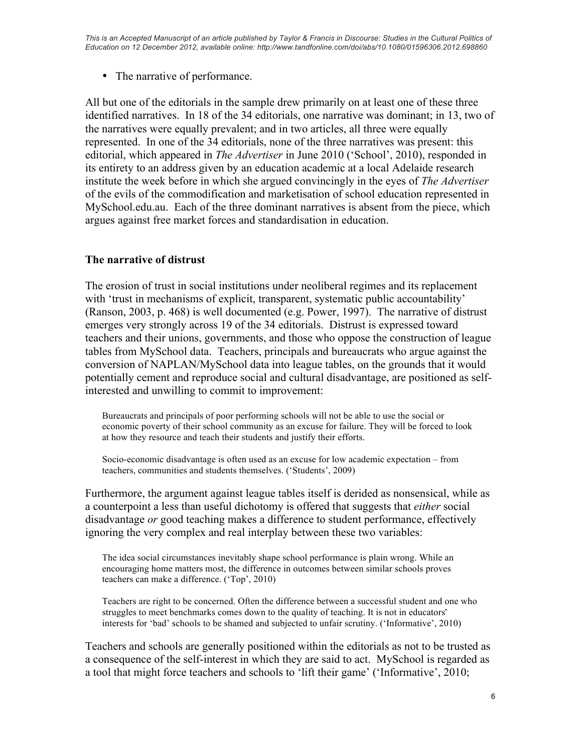• The narrative of performance.

All but one of the editorials in the sample drew primarily on at least one of these three identified narratives. In 18 of the 34 editorials, one narrative was dominant; in 13, two of the narratives were equally prevalent; and in two articles, all three were equally represented. In one of the 34 editorials, none of the three narratives was present: this editorial, which appeared in *The Advertiser* in June 2010 ('School', 2010), responded in its entirety to an address given by an education academic at a local Adelaide research institute the week before in which she argued convincingly in the eyes of *The Advertiser* of the evils of the commodification and marketisation of school education represented in MySchool.edu.au. Each of the three dominant narratives is absent from the piece, which argues against free market forces and standardisation in education.

## **The narrative of distrust**

The erosion of trust in social institutions under neoliberal regimes and its replacement with 'trust in mechanisms of explicit, transparent, systematic public accountability' (Ranson, 2003, p. 468) is well documented (e.g. Power, 1997). The narrative of distrust emerges very strongly across 19 of the 34 editorials. Distrust is expressed toward teachers and their unions, governments, and those who oppose the construction of league tables from MySchool data. Teachers, principals and bureaucrats who argue against the conversion of NAPLAN/MySchool data into league tables, on the grounds that it would potentially cement and reproduce social and cultural disadvantage, are positioned as selfinterested and unwilling to commit to improvement:

Bureaucrats and principals of poor performing schools will not be able to use the social or economic poverty of their school community as an excuse for failure. They will be forced to look at how they resource and teach their students and justify their efforts.

Socio-economic disadvantage is often used as an excuse for low academic expectation – from teachers, communities and students themselves. ('Students', 2009)

Furthermore, the argument against league tables itself is derided as nonsensical, while as a counterpoint a less than useful dichotomy is offered that suggests that *either* social disadvantage *or* good teaching makes a difference to student performance, effectively ignoring the very complex and real interplay between these two variables:

The idea social circumstances inevitably shape school performance is plain wrong. While an encouraging home matters most, the difference in outcomes between similar schools proves teachers can make a difference. ('Top', 2010)

Teachers are right to be concerned. Often the difference between a successful student and one who struggles to meet benchmarks comes down to the quality of teaching. It is not in educators' interests for 'bad' schools to be shamed and subjected to unfair scrutiny. ('Informative', 2010)

Teachers and schools are generally positioned within the editorials as not to be trusted as a consequence of the self-interest in which they are said to act. MySchool is regarded as a tool that might force teachers and schools to 'lift their game' ('Informative', 2010;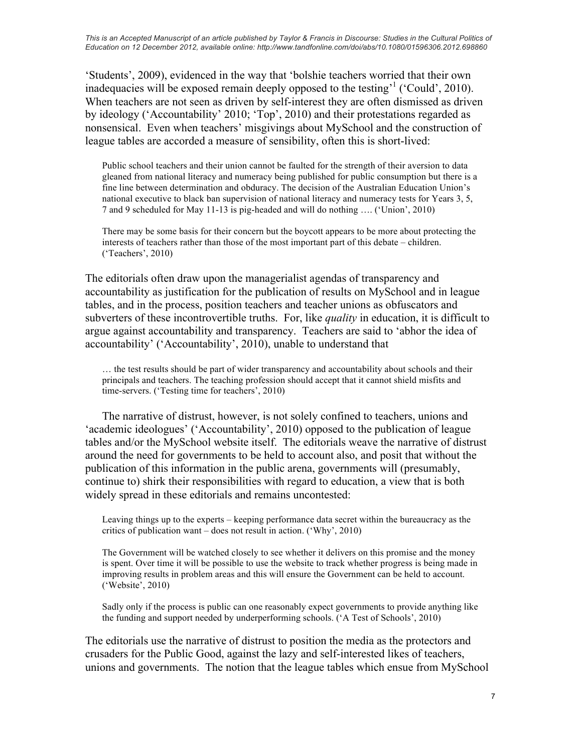'Students', 2009), evidenced in the way that 'bolshie teachers worried that their own inadequacies will be exposed remain deeply opposed to the testing<sup>1</sup> ('Could', 2010). When teachers are not seen as driven by self-interest they are often dismissed as driven by ideology ('Accountability' 2010; 'Top', 2010) and their protestations regarded as nonsensical. Even when teachers' misgivings about MySchool and the construction of league tables are accorded a measure of sensibility, often this is short-lived:

Public school teachers and their union cannot be faulted for the strength of their aversion to data gleaned from national literacy and numeracy being published for public consumption but there is a fine line between determination and obduracy. The decision of the Australian Education Union's national executive to black ban supervision of national literacy and numeracy tests for Years 3, 5, 7 and 9 scheduled for May 11-13 is pig-headed and will do nothing …. ('Union', 2010)

There may be some basis for their concern but the boycott appears to be more about protecting the interests of teachers rather than those of the most important part of this debate – children. ('Teachers', 2010)

The editorials often draw upon the managerialist agendas of transparency and accountability as justification for the publication of results on MySchool and in league tables, and in the process, position teachers and teacher unions as obfuscators and subverters of these incontrovertible truths. For, like *quality* in education, it is difficult to argue against accountability and transparency. Teachers are said to 'abhor the idea of accountability' ('Accountability', 2010), unable to understand that

… the test results should be part of wider transparency and accountability about schools and their principals and teachers. The teaching profession should accept that it cannot shield misfits and time-servers. ('Testing time for teachers', 2010)

The narrative of distrust, however, is not solely confined to teachers, unions and 'academic ideologues' ('Accountability', 2010) opposed to the publication of league tables and/or the MySchool website itself. The editorials weave the narrative of distrust around the need for governments to be held to account also, and posit that without the publication of this information in the public arena, governments will (presumably, continue to) shirk their responsibilities with regard to education, a view that is both widely spread in these editorials and remains uncontested:

Leaving things up to the experts – keeping performance data secret within the bureaucracy as the critics of publication want – does not result in action. ('Why', 2010)

The Government will be watched closely to see whether it delivers on this promise and the money is spent. Over time it will be possible to use the website to track whether progress is being made in improving results in problem areas and this will ensure the Government can be held to account. ('Website', 2010)

Sadly only if the process is public can one reasonably expect governments to provide anything like the funding and support needed by underperforming schools. ('A Test of Schools', 2010)

The editorials use the narrative of distrust to position the media as the protectors and crusaders for the Public Good, against the lazy and self-interested likes of teachers, unions and governments. The notion that the league tables which ensue from MySchool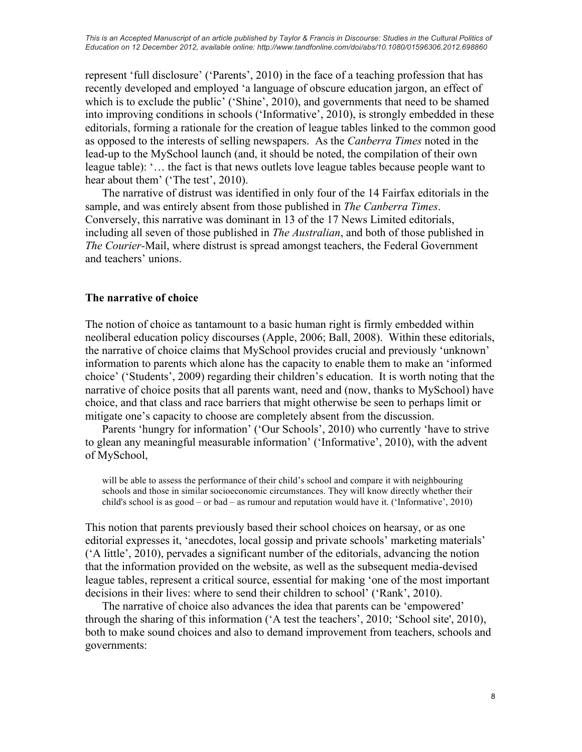represent 'full disclosure' ('Parents', 2010) in the face of a teaching profession that has recently developed and employed 'a language of obscure education jargon, an effect of which is to exclude the public' ('Shine', 2010), and governments that need to be shamed into improving conditions in schools ('Informative', 2010), is strongly embedded in these editorials, forming a rationale for the creation of league tables linked to the common good as opposed to the interests of selling newspapers. As the *Canberra Times* noted in the lead-up to the MySchool launch (and, it should be noted, the compilation of their own league table): '… the fact is that news outlets love league tables because people want to hear about them' ('The test', 2010).

The narrative of distrust was identified in only four of the 14 Fairfax editorials in the sample, and was entirely absent from those published in *The Canberra Times*. Conversely, this narrative was dominant in 13 of the 17 News Limited editorials, including all seven of those published in *The Australian*, and both of those published in *The Courier-*Mail, where distrust is spread amongst teachers, the Federal Government and teachers' unions.

## **The narrative of choice**

The notion of choice as tantamount to a basic human right is firmly embedded within neoliberal education policy discourses (Apple, 2006; Ball, 2008). Within these editorials, the narrative of choice claims that MySchool provides crucial and previously 'unknown' information to parents which alone has the capacity to enable them to make an 'informed choice' ('Students', 2009) regarding their children's education. It is worth noting that the narrative of choice posits that all parents want, need and (now, thanks to MySchool) have choice, and that class and race barriers that might otherwise be seen to perhaps limit or mitigate one's capacity to choose are completely absent from the discussion.

Parents 'hungry for information' ('Our Schools', 2010) who currently 'have to strive to glean any meaningful measurable information' ('Informative', 2010), with the advent of MySchool,

will be able to assess the performance of their child's school and compare it with neighbouring schools and those in similar socioeconomic circumstances. They will know directly whether their child's school is as good – or bad – as rumour and reputation would have it. ('Informative', 2010)

This notion that parents previously based their school choices on hearsay, or as one editorial expresses it, 'anecdotes, local gossip and private schools' marketing materials' ('A little', 2010), pervades a significant number of the editorials, advancing the notion that the information provided on the website, as well as the subsequent media-devised league tables, represent a critical source, essential for making 'one of the most important decisions in their lives: where to send their children to school' ('Rank', 2010).

The narrative of choice also advances the idea that parents can be 'empowered' through the sharing of this information ('A test the teachers', 2010; 'School site', 2010), both to make sound choices and also to demand improvement from teachers, schools and governments: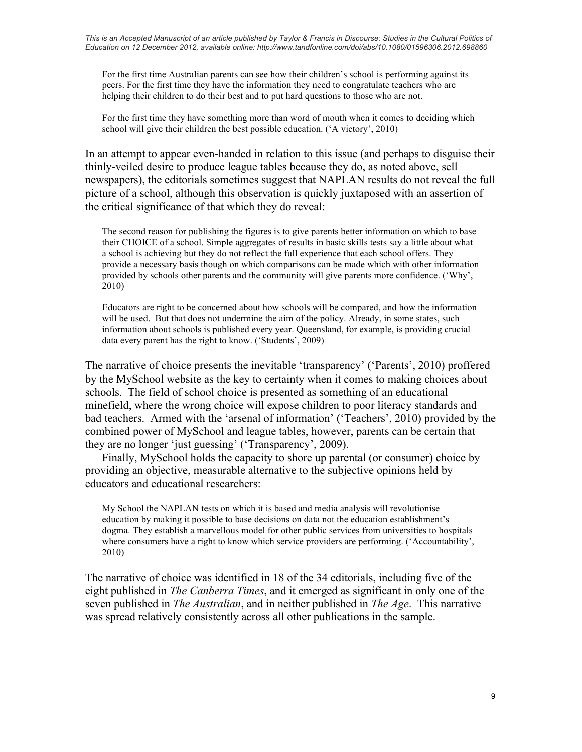For the first time Australian parents can see how their children's school is performing against its peers. For the first time they have the information they need to congratulate teachers who are helping their children to do their best and to put hard questions to those who are not.

For the first time they have something more than word of mouth when it comes to deciding which school will give their children the best possible education. ('A victory', 2010)

In an attempt to appear even-handed in relation to this issue (and perhaps to disguise their thinly-veiled desire to produce league tables because they do, as noted above, sell newspapers), the editorials sometimes suggest that NAPLAN results do not reveal the full picture of a school, although this observation is quickly juxtaposed with an assertion of the critical significance of that which they do reveal:

The second reason for publishing the figures is to give parents better information on which to base their CHOICE of a school. Simple aggregates of results in basic skills tests say a little about what a school is achieving but they do not reflect the full experience that each school offers. They provide a necessary basis though on which comparisons can be made which with other information provided by schools other parents and the community will give parents more confidence. ('Why', 2010)

Educators are right to be concerned about how schools will be compared, and how the information will be used. But that does not undermine the aim of the policy. Already, in some states, such information about schools is published every year. Queensland, for example, is providing crucial data every parent has the right to know. ('Students', 2009)

The narrative of choice presents the inevitable 'transparency' ('Parents', 2010) proffered by the MySchool website as the key to certainty when it comes to making choices about schools. The field of school choice is presented as something of an educational minefield, where the wrong choice will expose children to poor literacy standards and bad teachers. Armed with the 'arsenal of information' ('Teachers', 2010) provided by the combined power of MySchool and league tables, however, parents can be certain that they are no longer 'just guessing' ('Transparency', 2009).

Finally, MySchool holds the capacity to shore up parental (or consumer) choice by providing an objective, measurable alternative to the subjective opinions held by educators and educational researchers:

My School the NAPLAN tests on which it is based and media analysis will revolutionise education by making it possible to base decisions on data not the education establishment's dogma. They establish a marvellous model for other public services from universities to hospitals where consumers have a right to know which service providers are performing. ('Accountability', 2010)

The narrative of choice was identified in 18 of the 34 editorials, including five of the eight published in *The Canberra Times*, and it emerged as significant in only one of the seven published in *The Australian*, and in neither published in *The Age*. This narrative was spread relatively consistently across all other publications in the sample.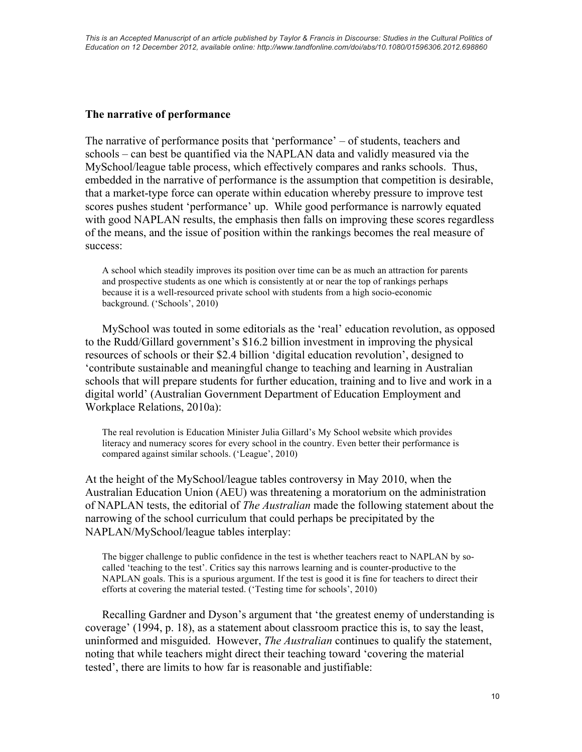## **The narrative of performance**

The narrative of performance posits that 'performance' – of students, teachers and schools – can best be quantified via the NAPLAN data and validly measured via the MySchool/league table process, which effectively compares and ranks schools. Thus, embedded in the narrative of performance is the assumption that competition is desirable, that a market-type force can operate within education whereby pressure to improve test scores pushes student 'performance' up. While good performance is narrowly equated with good NAPLAN results, the emphasis then falls on improving these scores regardless of the means, and the issue of position within the rankings becomes the real measure of success:

A school which steadily improves its position over time can be as much an attraction for parents and prospective students as one which is consistently at or near the top of rankings perhaps because it is a well-resourced private school with students from a high socio-economic background. ('Schools', 2010)

MySchool was touted in some editorials as the 'real' education revolution, as opposed to the Rudd/Gillard government's \$16.2 billion investment in improving the physical resources of schools or their \$2.4 billion 'digital education revolution', designed to 'contribute sustainable and meaningful change to teaching and learning in Australian schools that will prepare students for further education, training and to live and work in a digital world' (Australian Government Department of Education Employment and Workplace Relations, 2010a):

The real revolution is Education Minister Julia Gillard's My School website which provides literacy and numeracy scores for every school in the country. Even better their performance is compared against similar schools. ('League', 2010)

At the height of the MySchool/league tables controversy in May 2010, when the Australian Education Union (AEU) was threatening a moratorium on the administration of NAPLAN tests, the editorial of *The Australian* made the following statement about the narrowing of the school curriculum that could perhaps be precipitated by the NAPLAN/MySchool/league tables interplay:

The bigger challenge to public confidence in the test is whether teachers react to NAPLAN by socalled 'teaching to the test'. Critics say this narrows learning and is counter-productive to the NAPLAN goals. This is a spurious argument. If the test is good it is fine for teachers to direct their efforts at covering the material tested. ('Testing time for schools', 2010)

Recalling Gardner and Dyson's argument that 'the greatest enemy of understanding is coverage' (1994, p. 18), as a statement about classroom practice this is, to say the least, uninformed and misguided. However, *The Australian* continues to qualify the statement, noting that while teachers might direct their teaching toward 'covering the material tested', there are limits to how far is reasonable and justifiable: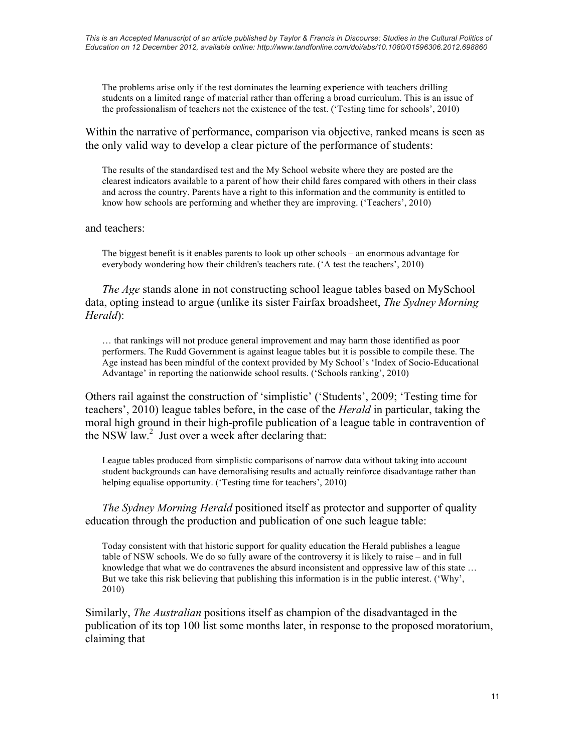The problems arise only if the test dominates the learning experience with teachers drilling students on a limited range of material rather than offering a broad curriculum. This is an issue of the professionalism of teachers not the existence of the test. ('Testing time for schools', 2010)

Within the narrative of performance, comparison via objective, ranked means is seen as the only valid way to develop a clear picture of the performance of students:

The results of the standardised test and the My School website where they are posted are the clearest indicators available to a parent of how their child fares compared with others in their class and across the country. Parents have a right to this information and the community is entitled to know how schools are performing and whether they are improving. ('Teachers', 2010)

#### and teachers:

The biggest benefit is it enables parents to look up other schools – an enormous advantage for everybody wondering how their children's teachers rate. ('A test the teachers', 2010)

*The Age* stands alone in not constructing school league tables based on MySchool data, opting instead to argue (unlike its sister Fairfax broadsheet, *The Sydney Morning Herald*):

… that rankings will not produce general improvement and may harm those identified as poor performers. The Rudd Government is against league tables but it is possible to compile these. The Age instead has been mindful of the context provided by My School's 'Index of Socio-Educational Advantage' in reporting the nationwide school results. ('Schools ranking', 2010)

Others rail against the construction of 'simplistic' ('Students', 2009; 'Testing time for teachers', 2010) league tables before, in the case of the *Herald* in particular, taking the moral high ground in their high-profile publication of a league table in contravention of the NSW law.<sup>2</sup> Just over a week after declaring that:

League tables produced from simplistic comparisons of narrow data without taking into account student backgrounds can have demoralising results and actually reinforce disadvantage rather than helping equalise opportunity. ('Testing time for teachers', 2010)

*The Sydney Morning Herald* positioned itself as protector and supporter of quality education through the production and publication of one such league table:

Today consistent with that historic support for quality education the Herald publishes a league table of NSW schools. We do so fully aware of the controversy it is likely to raise – and in full knowledge that what we do contravenes the absurd inconsistent and oppressive law of this state … But we take this risk believing that publishing this information is in the public interest. ('Why', 2010)

Similarly, *The Australian* positions itself as champion of the disadvantaged in the publication of its top 100 list some months later, in response to the proposed moratorium, claiming that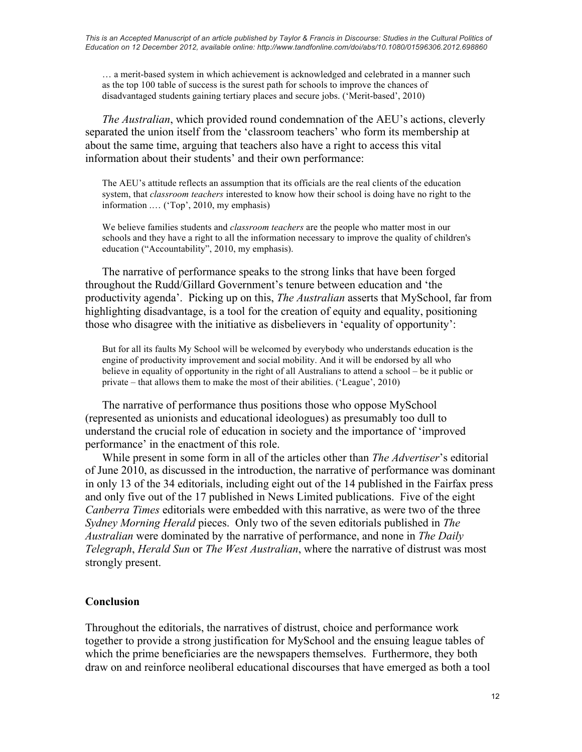… a merit-based system in which achievement is acknowledged and celebrated in a manner such as the top 100 table of success is the surest path for schools to improve the chances of disadvantaged students gaining tertiary places and secure jobs. ('Merit-based', 2010)

*The Australian*, which provided round condemnation of the AEU's actions, cleverly separated the union itself from the 'classroom teachers' who form its membership at about the same time, arguing that teachers also have a right to access this vital information about their students' and their own performance:

The AEU's attitude reflects an assumption that its officials are the real clients of the education system, that *classroom teachers* interested to know how their school is doing have no right to the information .… ('Top', 2010, my emphasis)

We believe families students and *classroom teachers* are the people who matter most in our schools and they have a right to all the information necessary to improve the quality of children's education ("Accountability", 2010, my emphasis).

The narrative of performance speaks to the strong links that have been forged throughout the Rudd/Gillard Government's tenure between education and 'the productivity agenda'. Picking up on this, *The Australian* asserts that MySchool, far from highlighting disadvantage, is a tool for the creation of equity and equality, positioning those who disagree with the initiative as disbelievers in 'equality of opportunity':

But for all its faults My School will be welcomed by everybody who understands education is the engine of productivity improvement and social mobility. And it will be endorsed by all who believe in equality of opportunity in the right of all Australians to attend a school – be it public or private – that allows them to make the most of their abilities. ('League', 2010)

The narrative of performance thus positions those who oppose MySchool (represented as unionists and educational ideologues) as presumably too dull to understand the crucial role of education in society and the importance of 'improved performance' in the enactment of this role.

While present in some form in all of the articles other than *The Advertiser*'s editorial of June 2010, as discussed in the introduction, the narrative of performance was dominant in only 13 of the 34 editorials, including eight out of the 14 published in the Fairfax press and only five out of the 17 published in News Limited publications. Five of the eight *Canberra Times* editorials were embedded with this narrative, as were two of the three *Sydney Morning Herald* pieces. Only two of the seven editorials published in *The Australian* were dominated by the narrative of performance, and none in *The Daily Telegraph*, *Herald Sun* or *The West Australian*, where the narrative of distrust was most strongly present.

### **Conclusion**

Throughout the editorials, the narratives of distrust, choice and performance work together to provide a strong justification for MySchool and the ensuing league tables of which the prime beneficiaries are the newspapers themselves. Furthermore, they both draw on and reinforce neoliberal educational discourses that have emerged as both a tool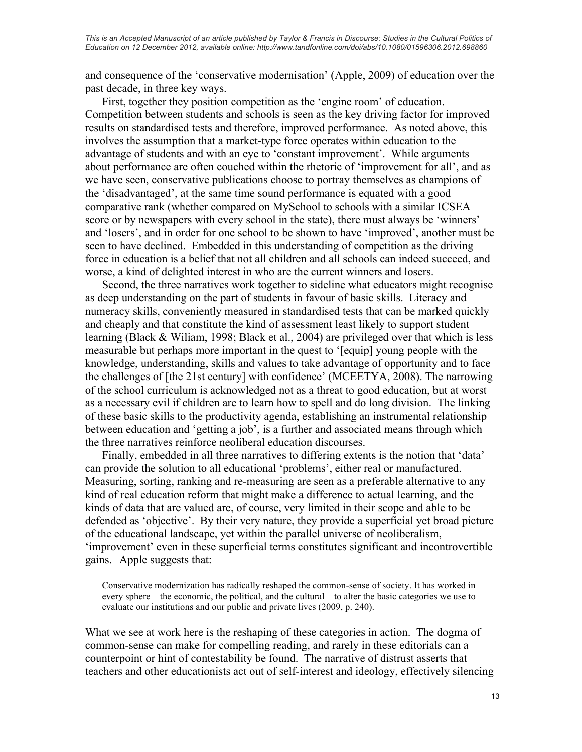and consequence of the 'conservative modernisation' (Apple, 2009) of education over the past decade, in three key ways.

First, together they position competition as the 'engine room' of education. Competition between students and schools is seen as the key driving factor for improved results on standardised tests and therefore, improved performance. As noted above, this involves the assumption that a market-type force operates within education to the advantage of students and with an eye to 'constant improvement'. While arguments about performance are often couched within the rhetoric of 'improvement for all', and as we have seen, conservative publications choose to portray themselves as champions of the 'disadvantaged', at the same time sound performance is equated with a good comparative rank (whether compared on MySchool to schools with a similar ICSEA score or by newspapers with every school in the state), there must always be 'winners' and 'losers', and in order for one school to be shown to have 'improved', another must be seen to have declined. Embedded in this understanding of competition as the driving force in education is a belief that not all children and all schools can indeed succeed, and worse, a kind of delighted interest in who are the current winners and losers.

Second, the three narratives work together to sideline what educators might recognise as deep understanding on the part of students in favour of basic skills. Literacy and numeracy skills, conveniently measured in standardised tests that can be marked quickly and cheaply and that constitute the kind of assessment least likely to support student learning (Black & Wiliam, 1998; Black et al., 2004) are privileged over that which is less measurable but perhaps more important in the quest to '[equip] young people with the knowledge, understanding, skills and values to take advantage of opportunity and to face the challenges of [the 21st century] with confidence' (MCEETYA, 2008). The narrowing of the school curriculum is acknowledged not as a threat to good education, but at worst as a necessary evil if children are to learn how to spell and do long division. The linking of these basic skills to the productivity agenda, establishing an instrumental relationship between education and 'getting a job', is a further and associated means through which the three narratives reinforce neoliberal education discourses.

Finally, embedded in all three narratives to differing extents is the notion that 'data' can provide the solution to all educational 'problems', either real or manufactured. Measuring, sorting, ranking and re-measuring are seen as a preferable alternative to any kind of real education reform that might make a difference to actual learning, and the kinds of data that are valued are, of course, very limited in their scope and able to be defended as 'objective'. By their very nature, they provide a superficial yet broad picture of the educational landscape, yet within the parallel universe of neoliberalism, 'improvement' even in these superficial terms constitutes significant and incontrovertible gains. Apple suggests that:

Conservative modernization has radically reshaped the common-sense of society. It has worked in every sphere – the economic, the political, and the cultural – to alter the basic categories we use to evaluate our institutions and our public and private lives (2009, p. 240).

What we see at work here is the reshaping of these categories in action. The dogma of common-sense can make for compelling reading, and rarely in these editorials can a counterpoint or hint of contestability be found. The narrative of distrust asserts that teachers and other educationists act out of self-interest and ideology, effectively silencing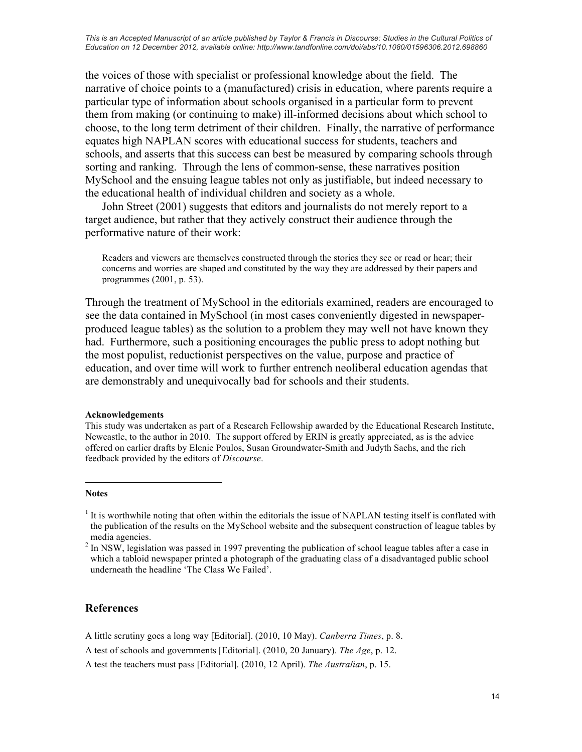the voices of those with specialist or professional knowledge about the field. The narrative of choice points to a (manufactured) crisis in education, where parents require a particular type of information about schools organised in a particular form to prevent them from making (or continuing to make) ill-informed decisions about which school to choose, to the long term detriment of their children. Finally, the narrative of performance equates high NAPLAN scores with educational success for students, teachers and schools, and asserts that this success can best be measured by comparing schools through sorting and ranking. Through the lens of common-sense, these narratives position MySchool and the ensuing league tables not only as justifiable, but indeed necessary to the educational health of individual children and society as a whole.

John Street (2001) suggests that editors and journalists do not merely report to a target audience, but rather that they actively construct their audience through the performative nature of their work:

Readers and viewers are themselves constructed through the stories they see or read or hear; their concerns and worries are shaped and constituted by the way they are addressed by their papers and programmes (2001, p. 53).

Through the treatment of MySchool in the editorials examined, readers are encouraged to see the data contained in MySchool (in most cases conveniently digested in newspaperproduced league tables) as the solution to a problem they may well not have known they had. Furthermore, such a positioning encourages the public press to adopt nothing but the most populist, reductionist perspectives on the value, purpose and practice of education, and over time will work to further entrench neoliberal education agendas that are demonstrably and unequivocally bad for schools and their students.

#### **Acknowledgements**

This study was undertaken as part of a Research Fellowship awarded by the Educational Research Institute, Newcastle, to the author in 2010. The support offered by ERIN is greatly appreciated, as is the advice offered on earlier drafts by Elenie Poulos, Susan Groundwater-Smith and Judyth Sachs, and the rich feedback provided by the editors of *Discourse*.

#### **Notes**

 $\overline{a}$ 

#### **References**

A little scrutiny goes a long way [Editorial]. (2010, 10 May). *Canberra Times*, p. 8.

 $<sup>1</sup>$  It is worthwhile noting that often within the editorials the issue of NAPLAN testing itself is conflated with</sup> the publication of the results on the MySchool website and the subsequent construction of league tables by media agencies.

 $2 \text{ In NSW, legislation was passed in 1997 preventing the publication of school league tables after a case in }$ which a tabloid newspaper printed a photograph of the graduating class of a disadvantaged public school underneath the headline 'The Class We Failed'.

A test of schools and governments [Editorial]. (2010, 20 January). *The Age*, p. 12.

A test the teachers must pass [Editorial]. (2010, 12 April). *The Australian*, p. 15.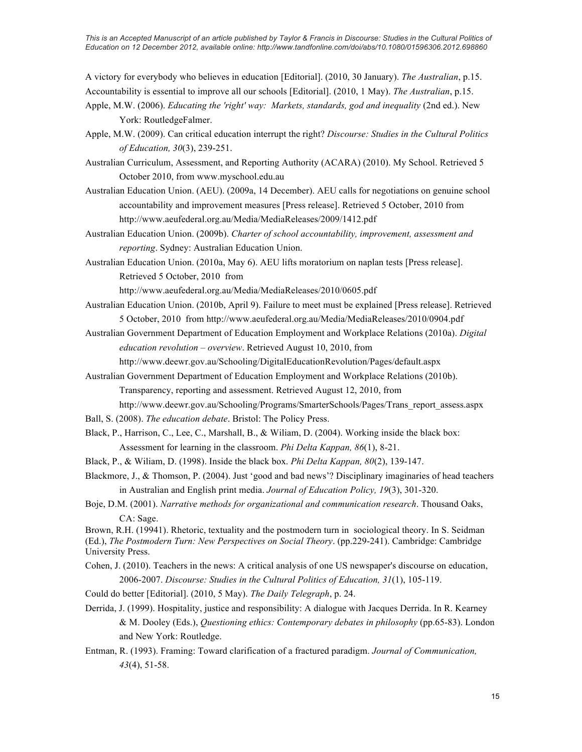A victory for everybody who believes in education [Editorial]. (2010, 30 January). *The Australian*, p.15. Accountability is essential to improve all our schools [Editorial]. (2010, 1 May). *The Australian*, p.15.

- Apple, M.W. (2006). *Educating the 'right' way: Markets, standards, god and inequality* (2nd ed.). New York: RoutledgeFalmer.
- Apple, M.W. (2009). Can critical education interrupt the right? *Discourse: Studies in the Cultural Politics of Education, 30*(3), 239-251.

Australian Curriculum, Assessment, and Reporting Authority (ACARA) (2010). My School. Retrieved 5 October 2010, from www.myschool.edu.au

- Australian Education Union. (AEU). (2009a, 14 December). AEU calls for negotiations on genuine school accountability and improvement measures [Press release]. Retrieved 5 October, 2010 from http://www.aeufederal.org.au/Media/MediaReleases/2009/1412.pdf
- Australian Education Union. (2009b). *Charter of school accountability, improvement, assessment and reporting*. Sydney: Australian Education Union.

Australian Education Union. (2010a, May 6). AEU lifts moratorium on naplan tests [Press release]. Retrieved 5 October, 2010 from

http://www.aeufederal.org.au/Media/MediaReleases/2010/0605.pdf

- Australian Education Union. (2010b, April 9). Failure to meet must be explained [Press release]. Retrieved 5 October, 2010 from http://www.aeufederal.org.au/Media/MediaReleases/2010/0904.pdf
- Australian Government Department of Education Employment and Workplace Relations (2010a). *Digital education revolution – overview*. Retrieved August 10, 2010, from

http://www.deewr.gov.au/Schooling/DigitalEducationRevolution/Pages/default.aspx

Australian Government Department of Education Employment and Workplace Relations (2010b).

Transparency, reporting and assessment. Retrieved August 12, 2010, from

http://www.deewr.gov.au/Schooling/Programs/SmarterSchools/Pages/Trans\_report\_assess.aspx

- Ball, S. (2008). *The education debate*. Bristol: The Policy Press.
- Black, P., Harrison, C., Lee, C., Marshall, B., & Wiliam, D. (2004). Working inside the black box: Assessment for learning in the classroom. *Phi Delta Kappan, 86*(1), 8-21.

Black, P., & Wiliam, D. (1998). Inside the black box. *Phi Delta Kappan, 80*(2), 139-147.

- Blackmore, J., & Thomson, P. (2004). Just 'good and bad news'? Disciplinary imaginaries of head teachers in Australian and English print media. *Journal of Education Policy, 19*(3), 301-320.
- Boje, D.M. (2001). *Narrative methods for organizational and communication research*. Thousand Oaks, CA: Sage.
- Brown, R.H. (19941). Rhetoric, textuality and the postmodern turn in sociological theory. In S. Seidman (Ed.), *The Postmodern Turn: New Perspectives on Social Theory*. (pp.229-241). Cambridge: Cambridge University Press.
- Cohen, J. (2010). Teachers in the news: A critical analysis of one US newspaper's discourse on education, 2006-2007. *Discourse: Studies in the Cultural Politics of Education, 31*(1), 105-119.

Could do better [Editorial]. (2010, 5 May). *The Daily Telegraph*, p. 24.

- Derrida, J. (1999). Hospitality, justice and responsibility: A dialogue with Jacques Derrida. In R. Kearney & M. Dooley (Eds.), *Questioning ethics: Contemporary debates in philosophy* (pp.65-83). London and New York: Routledge.
- Entman, R. (1993). Framing: Toward clarification of a fractured paradigm. *Journal of Communication, 43*(4), 51-58.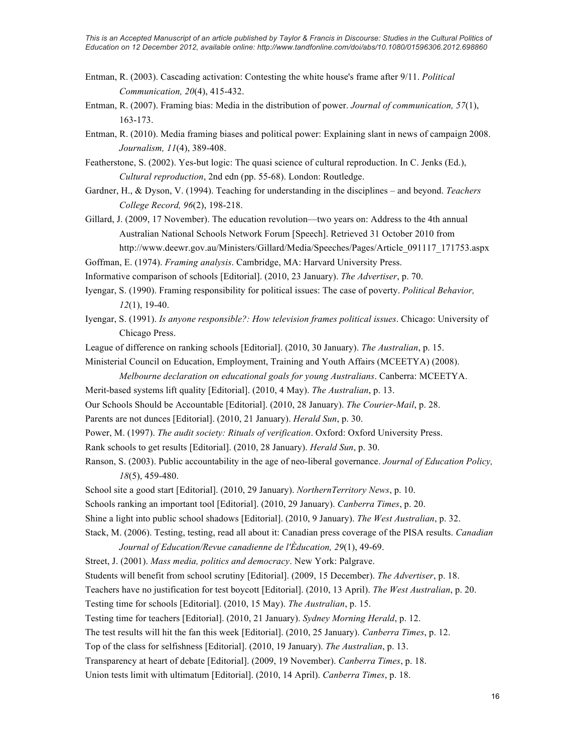- Entman, R. (2003). Cascading activation: Contesting the white house's frame after 9/11. *Political Communication, 20*(4), 415-432.
- Entman, R. (2007). Framing bias: Media in the distribution of power. *Journal of communication, 57*(1), 163-173.
- Entman, R. (2010). Media framing biases and political power: Explaining slant in news of campaign 2008. *Journalism, 11*(4), 389-408.
- Featherstone, S. (2002). Yes-but logic: The quasi science of cultural reproduction. In C. Jenks (Ed.), *Cultural reproduction*, 2nd edn (pp. 55-68). London: Routledge.
- Gardner, H., & Dyson, V. (1994). Teaching for understanding in the disciplines and beyond. *Teachers College Record, 96*(2), 198-218.
- Gillard, J. (2009, 17 November). The education revolution—two years on: Address to the 4th annual Australian National Schools Network Forum [Speech]. Retrieved 31 October 2010 from http://www.deewr.gov.au/Ministers/Gillard/Media/Speeches/Pages/Article\_091117\_171753.aspx
- Goffman, E. (1974). *Framing analysis*. Cambridge, MA: Harvard University Press.
- Informative comparison of schools [Editorial]. (2010, 23 January). *The Advertiser*, p. 70.
- Iyengar, S. (1990). Framing responsibility for political issues: The case of poverty. *Political Behavior, 12*(1), 19-40.
- Iyengar, S. (1991). *Is anyone responsible?: How television frames political issues*. Chicago: University of Chicago Press.
- League of difference on ranking schools [Editorial]. (2010, 30 January). *The Australian*, p. 15.
- Ministerial Council on Education, Employment, Training and Youth Affairs (MCEETYA) (2008).
- *Melbourne declaration on educational goals for young Australians*. Canberra: MCEETYA.
- Merit-based systems lift quality [Editorial]. (2010, 4 May). *The Australian*, p. 13.
- Our Schools Should be Accountable [Editorial]. (2010, 28 January). *The Courier-Mail*, p. 28.
- Parents are not dunces [Editorial]. (2010, 21 January). *Herald Sun*, p. 30.
- Power, M. (1997). *The audit society: Rituals of verification*. Oxford: Oxford University Press.
- Rank schools to get results [Editorial]. (2010, 28 January). *Herald Sun*, p. 30.
- Ranson, S. (2003). Public accountability in the age of neo-liberal governance. *Journal of Education Policy, 18*(5), 459-480.
- School site a good start [Editorial]. (2010, 29 January). *NorthernTerritory News*, p. 10.
- Schools ranking an important tool [Editorial]. (2010, 29 January). *Canberra Times*, p. 20.
- Shine a light into public school shadows [Editorial]. (2010, 9 January). *The West Australian*, p. 32.
- Stack, M. (2006). Testing, testing, read all about it: Canadian press coverage of the PISA results. *Canadian Journal of Education/Revue canadienne de l'Èducation, 29*(1), 49-69.
- Street, J. (2001). *Mass media, politics and democracy*. New York: Palgrave.
- Students will benefit from school scrutiny [Editorial]. (2009, 15 December). *The Advertiser*, p. 18.
- Teachers have no justification for test boycott [Editorial]. (2010, 13 April). *The West Australian*, p. 20.
- Testing time for schools [Editorial]. (2010, 15 May). *The Australian*, p. 15.
- Testing time for teachers [Editorial]. (2010, 21 January). *Sydney Morning Herald*, p. 12.
- The test results will hit the fan this week [Editorial]. (2010, 25 January). *Canberra Times*, p. 12.
- Top of the class for selfishness [Editorial]. (2010, 19 January). *The Australian*, p. 13.
- Transparency at heart of debate [Editorial]. (2009, 19 November). *Canberra Times*, p. 18.
- Union tests limit with ultimatum [Editorial]. (2010, 14 April). *Canberra Times*, p. 18.